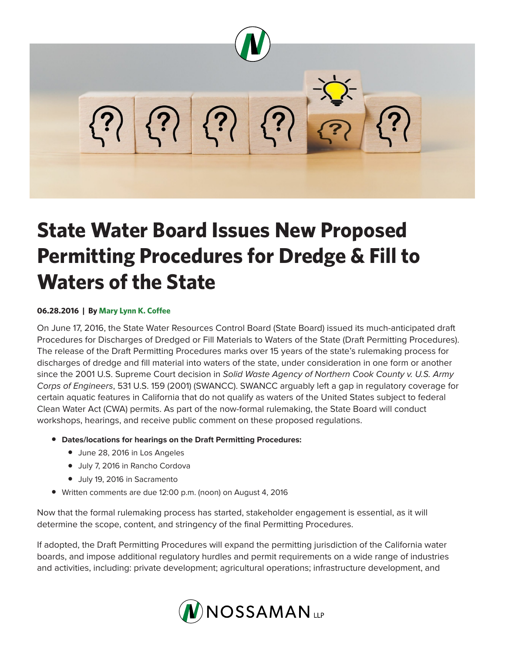

## **State Water Board Issues New Proposed Permitting Procedures for Dredge & Fill to Waters of the State**

## **06.28.2016 | By Mary Lynn K. Coffee**

On June 17, 2016, the State Water Resources Control Board (State Board) issued its much-anticipated draft Procedures for Discharges of Dredged or Fill Materials to Waters of the State (Draft Permitting Procedures). The release of the Draft Permitting Procedures marks over 15 years of the state's rulemaking process for discharges of dredge and fill material into waters of the state, under consideration in one form or another since the 2001 U.S. Supreme Court decision in *Solid Waste Agency of Northern Cook County v. U.S. Army Corps of Engineers*, 531 U.S. 159 (2001) (SWANCC). SWANCC arguably left a gap in regulatory coverage for certain aquatic features in California that do not qualify as waters of the United States subject to federal Clean Water Act (CWA) permits. As part of the now-formal rulemaking, the State Board will conduct workshops, hearings, and receive public comment on these proposed regulations.

- **Dates/locations for hearings on the Draft Permitting Procedures:**
	- June 28, 2016 in Los Angeles
	- July 7, 2016 in Rancho Cordova
	- July 19, 2016 in Sacramento
- Written comments are due 12:00 p.m. (noon) on August 4, 2016

Now that the formal rulemaking process has started, stakeholder engagement is essential, as it will determine the scope, content, and stringency of the final Permitting Procedures.

If adopted, the Draft Permitting Procedures will expand the permitting jurisdiction of the California water boards, and impose additional regulatory hurdles and permit requirements on a wide range of industries and activities, including: private development; agricultural operations; infrastructure development, and